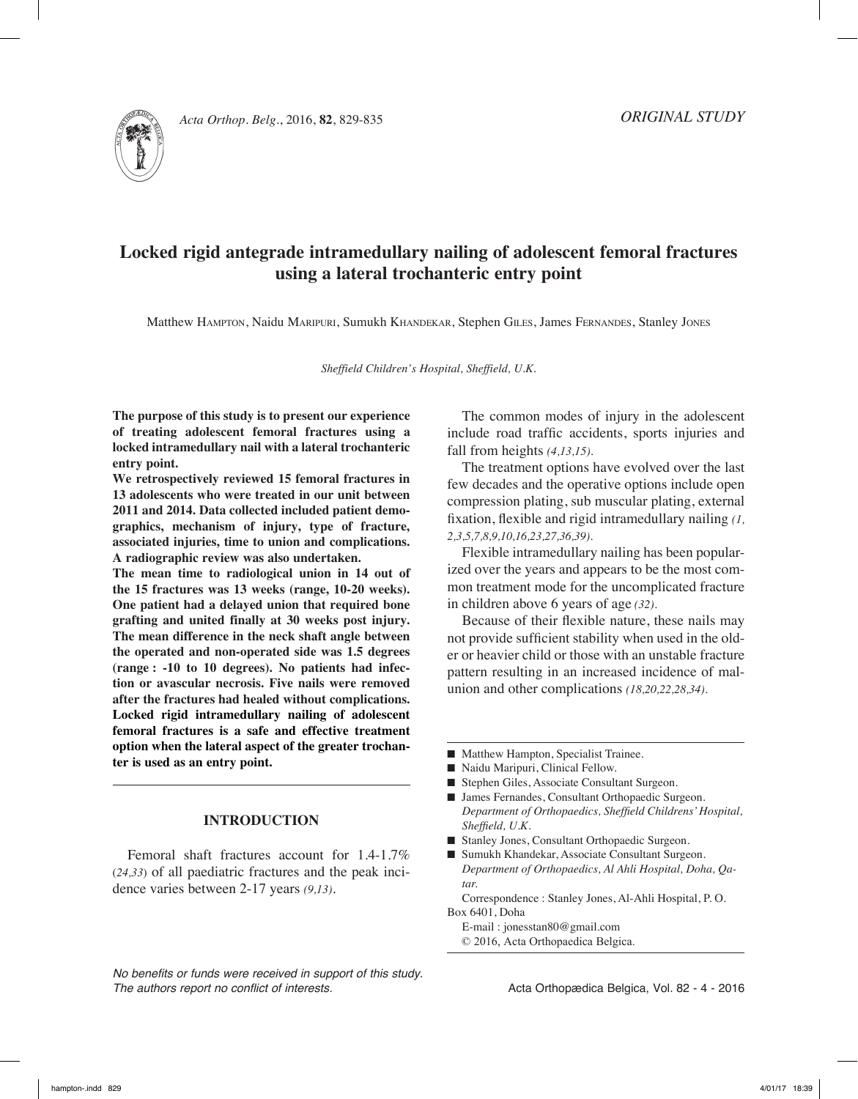

*Acta Orthop. Belg.*, 2016, **82**, 829-835

# **Locked rigid antegrade intramedullary nailing of adolescent femoral fractures using a lateral trochanteric entry point**

Matthew Hampton, Naidu Maripuri, Sumukh Khandekar, Stephen Giles, James Fernandes, Stanley Jones

*Sheffield Children's Hospital, Sheffield, U.K.*

**The purpose of this study is to present our experience of treating adolescent femoral fractures using a locked intramedullary nail with a lateral trochanteric entry point.** 

**We retrospectively reviewed 15 femoral fractures in 13 adolescents who were treated in our unit between 2011 and 2014. Data collected included patient demographics, mechanism of injury, type of fracture, associated injuries, time to union and complications. A radiographic review was also undertaken.**

**The mean time to radiological union in 14 out of the 15 fractures was 13 weeks (range, 10-20 weeks). One patient had a delayed union that required bone grafting and united finally at 30 weeks post injury. The mean difference in the neck shaft angle between the operated and non-operated side was 1.5 degrees (range : -10 to 10 degrees). No patients had infection or avascular necrosis. Five nails were removed after the fractures had healed without complications. Locked rigid intramedullary nailing of adolescent femoral fractures is a safe and effective treatment option when the lateral aspect of the greater trochanter is used as an entry point.**

## **Introduction**

Femoral shaft fractures account for 1.4-1.7% (*24,33*) of all paediatric fractures and the peak incidence varies between 2-17 years *(9,13).*

*No benefits or funds were received in support of this study. The authors report no conflict of interests.* 

The common modes of injury in the adolescent include road traffic accidents, sports injuries and fall from heights *(4,13,15).*

The treatment options have evolved over the last few decades and the operative options include open compression plating, sub muscular plating, external fixation, flexible and rigid intramedullary nailing *(1, 2,3,5,7,8,9,10,16,23,27,36,39).*

Flexible intramedullary nailing has been popularized over the years and appears to be the most common treatment mode for the uncomplicated fracture in children above 6 years of age *(32).*

Because of their flexible nature, these nails may not provide sufficient stability when used in the older or heavier child or those with an unstable fracture pattern resulting in an increased incidence of malunion and other complications *(18,20,22,28,34).*

- Matthew Hampton, Specialist Trainee.
- $\blacksquare$  Naidu Maripuri, Clinical Fellow.
- Stephen Giles, Associate Consultant Surgeon.
- James Fernandes, Consultant Orthopaedic Surgeon. *Department of Orthopaedics, Sheffield Childrens' Hospital, Sheffield, U.K.*
- Stanley Jones, Consultant Orthopaedic Surgeon.
- Sumukh Khandekar, Associate Consultant Surgeon. *Department of Orthopaedics, Al Ahli Hospital, Doha, Qatar.*

Correspondence : Stanley Jones, Al-Ahli Hospital, P. O. Box 6401, Doha

E-mail : jonesstan80@gmail.com © 2016, Acta Orthopaedica Belgica.

Acta Orthopædica Belgica, Vol. 82 - 4 - 2016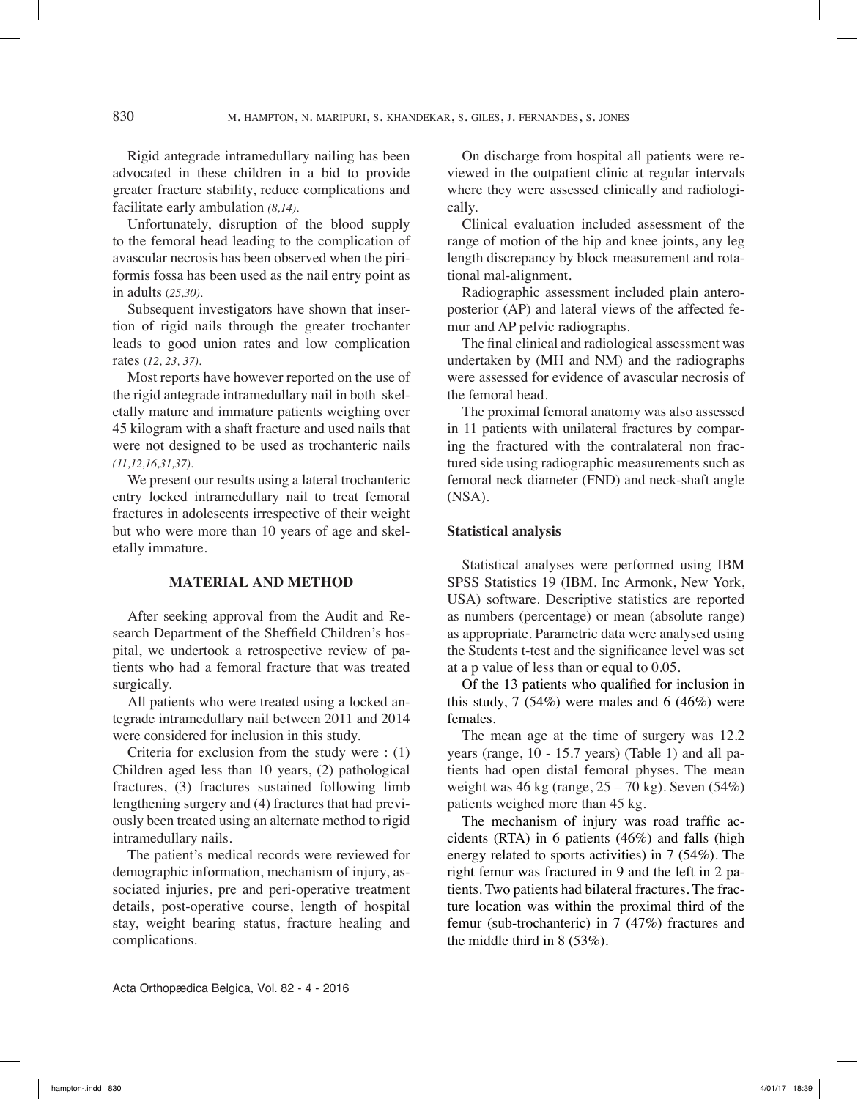Rigid antegrade intramedullary nailing has been advocated in these children in a bid to provide greater fracture stability, reduce complications and facilitate early ambulation *(8,14).*

Unfortunately, disruption of the blood supply to the femoral head leading to the complication of avascular necrosis has been observed when the piriformis fossa has been used as the nail entry point as in adults (*25,30).*

Subsequent investigators have shown that insertion of rigid nails through the greater trochanter leads to good union rates and low complication rates (*12, 23, 37).*

Most reports have however reported on the use of the rigid antegrade intramedullary nail in both skeletally mature and immature patients weighing over 45 kilogram with a shaft fracture and used nails that were not designed to be used as trochanteric nails *(11,12,16,31,37).*

We present our results using a lateral trochanteric entry locked intramedullary nail to treat femoral fractures in adolescents irrespective of their weight but who were more than 10 years of age and skeletally immature.

#### **Material and method**

After seeking approval from the Audit and Research Department of the Sheffield Children's hospital, we undertook a retrospective review of patients who had a femoral fracture that was treated surgically.

All patients who were treated using a locked antegrade intramedullary nail between 2011 and 2014 were considered for inclusion in this study.

Criteria for exclusion from the study were : (1) Children aged less than 10 years, (2) pathological fractures, (3) fractures sustained following limb lengthening surgery and (4) fractures that had previously been treated using an alternate method to rigid intramedullary nails.

The patient's medical records were reviewed for demographic information, mechanism of injury, associated injuries, pre and peri-operative treatment details, post-operative course, length of hospital stay, weight bearing status, fracture healing and complications.

On discharge from hospital all patients were reviewed in the outpatient clinic at regular intervals where they were assessed clinically and radiologically.

Clinical evaluation included assessment of the range of motion of the hip and knee joints, any leg length discrepancy by block measurement and rotational mal-alignment.

Radiographic assessment included plain anteroposterior (AP) and lateral views of the affected femur and AP pelvic radiographs.

The final clinical and radiological assessment was undertaken by (MH and NM) and the radiographs were assessed for evidence of avascular necrosis of the femoral head.

The proximal femoral anatomy was also assessed in 11 patients with unilateral fractures by comparing the fractured with the contralateral non fractured side using radiographic measurements such as femoral neck diameter (FND) and neck-shaft angle (NSA).

#### **Statistical analysis**

Statistical analyses were performed using IBM SPSS Statistics 19 (IBM. Inc Armonk, New York, USA) software. Descriptive statistics are reported as numbers (percentage) or mean (absolute range) as appropriate. Parametric data were analysed using the Students t-test and the significance level was set at a p value of less than or equal to 0.05.

Of the 13 patients who qualified for inclusion in this study,  $7(54\%)$  were males and  $6(46\%)$  were females.

The mean age at the time of surgery was 12.2 years (range, 10 - 15.7 years) (Table 1) and all patients had open distal femoral physes. The mean weight was  $46 \text{ kg}$  (range,  $25 - 70 \text{ kg}$ ). Seven (54%) patients weighed more than 45 kg.

The mechanism of injury was road traffic accidents (RTA) in 6 patients (46%) and falls (high energy related to sports activities) in 7 (54%). The right femur was fractured in 9 and the left in 2 patients. Two patients had bilateral fractures. The fracture location was within the proximal third of the femur (sub-trochanteric) in 7 (47%) fractures and the middle third in 8 (53%).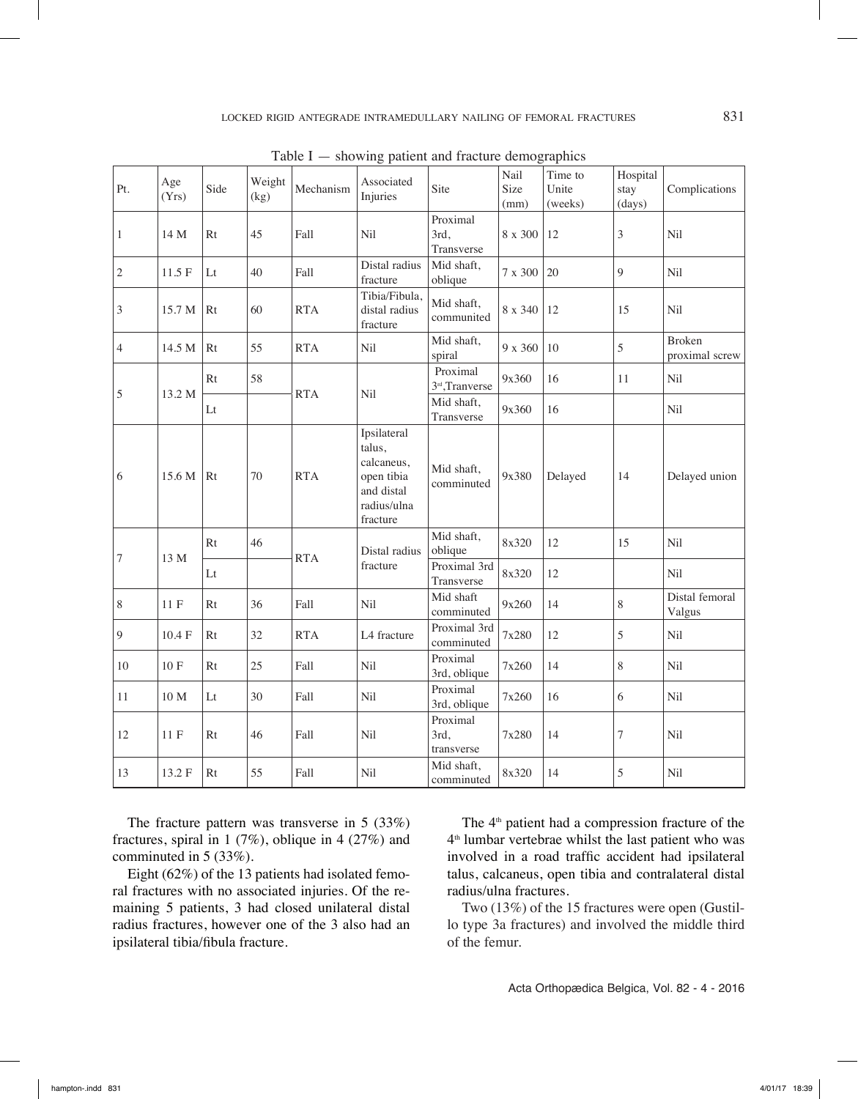| Pt.          | Age<br>(Yrs)    | Side        | Weight<br>(kg) | Mechanism  | Associated<br>Injuries                                                                     | Site                           | Nail<br>Size<br>(mm) | Time to<br>Unite<br>(weeks) | Hospital<br>stay<br>(days) | Complications                   |
|--------------|-----------------|-------------|----------------|------------|--------------------------------------------------------------------------------------------|--------------------------------|----------------------|-----------------------------|----------------------------|---------------------------------|
| $\mathbf{1}$ | 14 M            | Rt          | 45             | Fall       | Nil                                                                                        | Proximal<br>3rd,<br>Transverse | 8 x 300              | 12                          | $\mathfrak{Z}$             | Nil                             |
| 2            | 11.5 F          | $_{\rm Lt}$ | 40             | Fall       | Distal radius<br>fracture                                                                  | Mid shaft,<br>oblique          | $7$ x $300\,$        | 20                          | 9                          | Nil                             |
| 3            | 15.7 M          | Rt          | 60             | <b>RTA</b> | Tibia/Fibula,<br>distal radius<br>fracture                                                 | Mid shaft,<br>communited       | 8 x 340              | 12                          | 15                         | Nil                             |
| 4            | 14.5 M          | Rt          | 55             | <b>RTA</b> | Nil                                                                                        | Mid shaft,<br>spiral           | 9 x 360              | 10                          | 5                          | <b>Broken</b><br>proximal screw |
| 5            | 13.2 M          | Rt          | 58             | <b>RTA</b> | Nil                                                                                        | Proximal<br>3rd, Tranverse     | 9x360                | 16                          | 11                         | Nil                             |
|              |                 | Lt          |                |            |                                                                                            | Mid shaft,<br>Transverse       | 9x360                | 16                          |                            | Nil                             |
| 6            | 15.6 M          | Rt          | 70             | <b>RTA</b> | Ipsilateral<br>talus,<br>calcaneus,<br>open tibia<br>and distal<br>radius/ulna<br>fracture | Mid shaft,<br>comminuted       | 9x380                | Delayed                     | 14                         | Delayed union                   |
| 7            | 13 M            | Rt          | 46             | <b>RTA</b> | Distal radius<br>fracture                                                                  | Mid shaft,<br>oblique          | 8x320                | 12                          | 15                         | Nil                             |
|              |                 | $_{\rm Lt}$ |                |            |                                                                                            | Proximal 3rd<br>Transverse     | 8x320                | 12                          |                            | Nil                             |
| 8            | $11 F$          | Rt          | 36             | Fall       | Nil                                                                                        | Mid shaft<br>comminuted        | 9x260                | 14                          | 8                          | Distal femoral<br>Valgus        |
| 9            | 10.4 F          | Rt          | 32             | <b>RTA</b> | L4 fracture                                                                                | Proximal 3rd<br>comminuted     | 7x280                | 12                          | 5                          | Nil                             |
| 10           | $10 F$          | Rt          | 25             | Fall       | Nil                                                                                        | Proximal<br>3rd, oblique       | 7x260                | 14                          | 8                          | Nil                             |
| 11           | 10 <sub>M</sub> | Lt          | 30             | Fall       | Nil                                                                                        | Proximal<br>3rd, oblique       | 7x260                | 16                          | 6                          | Nil                             |
| 12           | 11F             | Rt          | 46             | Fall       | Nil                                                                                        | Proximal<br>3rd,<br>transverse | 7x280                | 14                          | 7                          | Nil                             |
| 13           | 13.2 F          | Rt          | 55             | Fall       | Nil                                                                                        | Mid shaft,<br>comminuted       | 8x320                | 14                          | 5                          | Nil                             |

Table  $I$  — showing patient and fracture demographics

The fracture pattern was transverse in 5 (33%) fractures, spiral in 1 (7%), oblique in 4 (27%) and comminuted in 5 (33%).

Eight (62%) of the 13 patients had isolated femoral fractures with no associated injuries. Of the remaining 5 patients, 3 had closed unilateral distal radius fractures, however one of the 3 also had an ipsilateral tibia/fibula fracture.

The 4<sup>th</sup> patient had a compression fracture of the 4th lumbar vertebrae whilst the last patient who was involved in a road traffic accident had ipsilateral talus, calcaneus, open tibia and contralateral distal radius/ulna fractures.

Two (13%) of the 15 fractures were open (Gustillo type 3a fractures) and involved the middle third of the femur.

Acta Orthopædica Belgica, Vol. 82 - 4 - 2016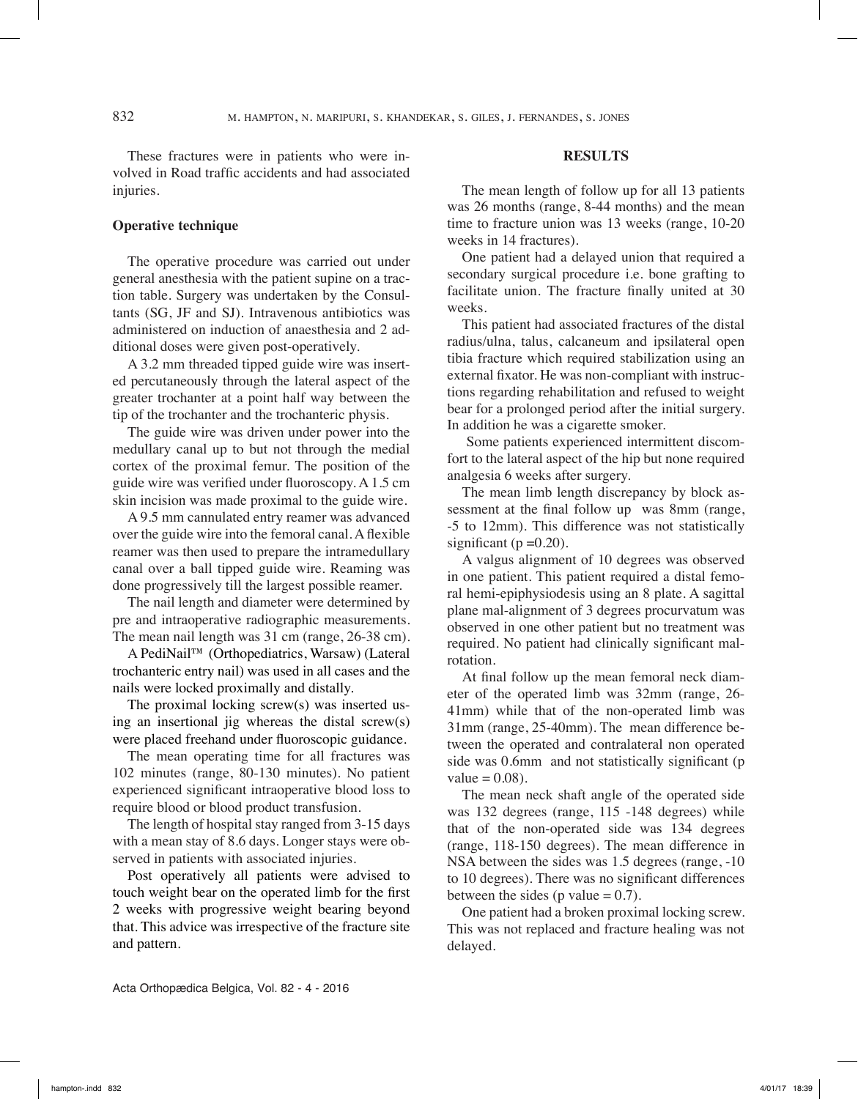832 m. hampton, n. maripuri, s. khandekar, s. giles, j. fernandes, s. jones

These fractures were in patients who were involved in Road traffic accidents and had associated injuries.

# **Operative technique**

The operative procedure was carried out under general anesthesia with the patient supine on a traction table. Surgery was undertaken by the Consultants (SG, JF and SJ). Intravenous antibiotics was administered on induction of anaesthesia and 2 additional doses were given post-operatively.

A 3.2 mm threaded tipped guide wire was inserted percutaneously through the lateral aspect of the greater trochanter at a point half way between the tip of the trochanter and the trochanteric physis.

The guide wire was driven under power into the medullary canal up to but not through the medial cortex of the proximal femur. The position of the guide wire was verified under fluoroscopy. A 1.5 cm skin incision was made proximal to the guide wire.

A 9.5 mm cannulated entry reamer was advanced over the guide wire into the femoral canal. A flexible reamer was then used to prepare the intramedullary canal over a ball tipped guide wire. Reaming was done progressively till the largest possible reamer.

The nail length and diameter were determined by pre and intraoperative radiographic measurements. The mean nail length was 31 cm (range, 26-38 cm).

A PediNail™ (Orthopediatrics, Warsaw) (Lateral trochanteric entry nail) was used in all cases and the nails were locked proximally and distally.

The proximal locking screw(s) was inserted using an insertional jig whereas the distal screw(s) were placed freehand under fluoroscopic guidance.

The mean operating time for all fractures was 102 minutes (range, 80-130 minutes). No patient experienced significant intraoperative blood loss to require blood or blood product transfusion.

The length of hospital stay ranged from 3-15 days with a mean stay of 8.6 days. Longer stays were observed in patients with associated injuries.

Post operatively all patients were advised to touch weight bear on the operated limb for the first 2 weeks with progressive weight bearing beyond that. This advice was irrespective of the fracture site and pattern.

### **Results**

The mean length of follow up for all 13 patients was 26 months (range, 8-44 months) and the mean time to fracture union was 13 weeks (range, 10-20 weeks in 14 fractures).

One patient had a delayed union that required a secondary surgical procedure i.e. bone grafting to facilitate union. The fracture finally united at 30 weeks.

This patient had associated fractures of the distal radius/ulna, talus, calcaneum and ipsilateral open tibia fracture which required stabilization using an external fixator. He was non-compliant with instructions regarding rehabilitation and refused to weight bear for a prolonged period after the initial surgery. In addition he was a cigarette smoker.

 Some patients experienced intermittent discomfort to the lateral aspect of the hip but none required analgesia 6 weeks after surgery.

The mean limb length discrepancy by block assessment at the final follow up was 8mm (range, -5 to 12mm). This difference was not statistically significant ( $p = 0.20$ ).

A valgus alignment of 10 degrees was observed in one patient. This patient required a distal femoral hemi-epiphysiodesis using an 8 plate. A sagittal plane mal-alignment of 3 degrees procurvatum was observed in one other patient but no treatment was required. No patient had clinically significant malrotation.

At final follow up the mean femoral neck diameter of the operated limb was 32mm (range, 26- 41mm) while that of the non-operated limb was 31mm (range, 25-40mm). The mean difference between the operated and contralateral non operated side was 0.6mm and not statistically significant (p value  $= 0.08$ ).

The mean neck shaft angle of the operated side was 132 degrees (range, 115 -148 degrees) while that of the non-operated side was 134 degrees (range, 118-150 degrees). The mean difference in NSA between the sides was 1.5 degrees (range, -10 to 10 degrees). There was no significant differences between the sides (p value  $= 0.7$ ).

One patient had a broken proximal locking screw. This was not replaced and fracture healing was not delayed.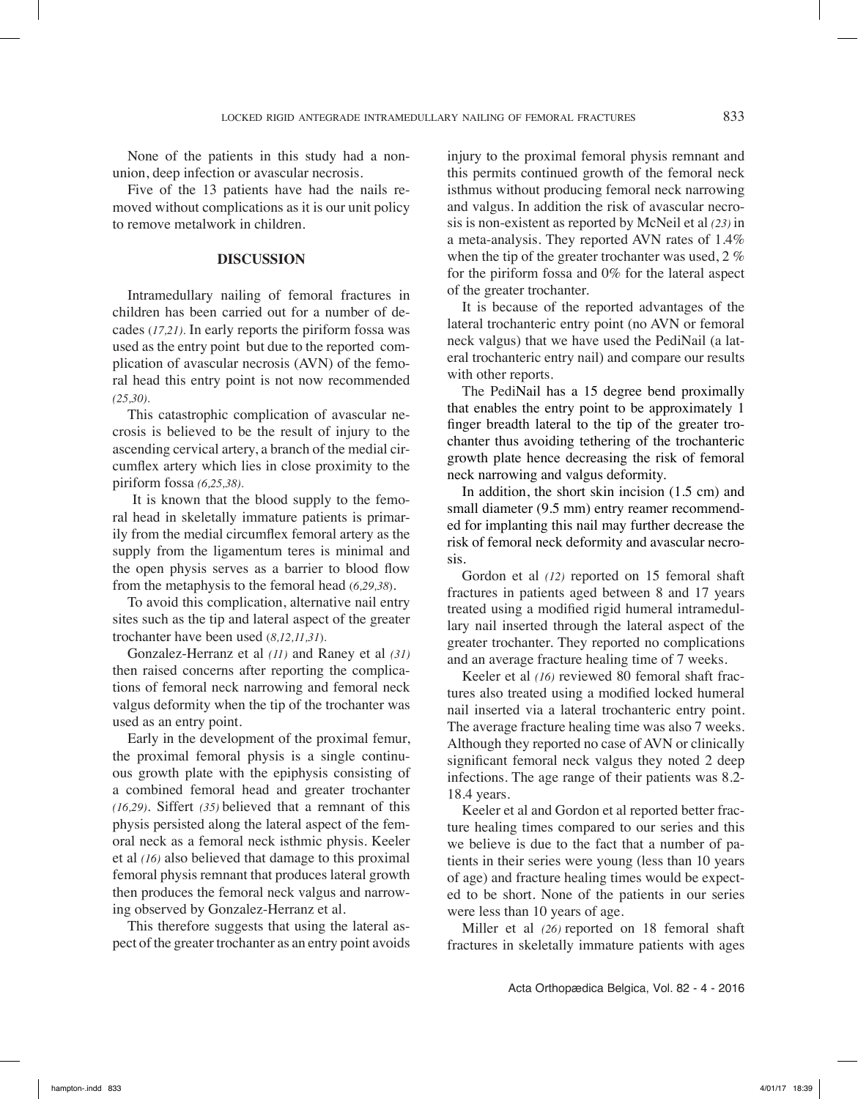None of the patients in this study had a nonunion, deep infection or avascular necrosis.

Five of the 13 patients have had the nails removed without complications as it is our unit policy to remove metalwork in children.

#### **Discussion**

Intramedullary nailing of femoral fractures in children has been carried out for a number of decades (*17,21).* In early reports the piriform fossa was used as the entry point but due to the reported complication of avascular necrosis (AVN) of the femoral head this entry point is not now recommended *(25,30).*

This catastrophic complication of avascular necrosis is believed to be the result of injury to the ascending cervical artery, a branch of the medial circumflex artery which lies in close proximity to the piriform fossa *(6,25,38).*

 It is known that the blood supply to the femoral head in skeletally immature patients is primarily from the medial circumflex femoral artery as the supply from the ligamentum teres is minimal and the open physis serves as a barrier to blood flow from the metaphysis to the femoral head (*6,29,38*).

To avoid this complication, alternative nail entry sites such as the tip and lateral aspect of the greater trochanter have been used (*8,12,11,31*).

Gonzalez-Herranz et al *(11)* and Raney et al *(31)* then raised concerns after reporting the complications of femoral neck narrowing and femoral neck valgus deformity when the tip of the trochanter was used as an entry point.

Early in the development of the proximal femur, the proximal femoral physis is a single continuous growth plate with the epiphysis consisting of a combined femoral head and greater trochanter *(16,29).* Siffert *(35)* believed that a remnant of this physis persisted along the lateral aspect of the femoral neck as a femoral neck isthmic physis. Keeler et al *(16)* also believed that damage to this proximal femoral physis remnant that produces lateral growth then produces the femoral neck valgus and narrowing observed by Gonzalez-Herranz et al.

This therefore suggests that using the lateral aspect of the greater trochanter as an entry point avoids injury to the proximal femoral physis remnant and this permits continued growth of the femoral neck isthmus without producing femoral neck narrowing and valgus. In addition the risk of avascular necrosis is non-existent as reported by McNeil et al *(23)* in a meta-analysis. They reported AVN rates of 1.4% when the tip of the greater trochanter was used, 2 % for the piriform fossa and 0% for the lateral aspect of the greater trochanter.

It is because of the reported advantages of the lateral trochanteric entry point (no AVN or femoral neck valgus) that we have used the PediNail (a lateral trochanteric entry nail) and compare our results with other reports.

The PediNail has a 15 degree bend proximally that enables the entry point to be approximately 1 finger breadth lateral to the tip of the greater trochanter thus avoiding tethering of the trochanteric growth plate hence decreasing the risk of femoral neck narrowing and valgus deformity.

In addition, the short skin incision (1.5 cm) and small diameter (9.5 mm) entry reamer recommended for implanting this nail may further decrease the risk of femoral neck deformity and avascular necrosis.

Gordon et al *(12)* reported on 15 femoral shaft fractures in patients aged between 8 and 17 years treated using a modified rigid humeral intramedullary nail inserted through the lateral aspect of the greater trochanter. They reported no complications and an average fracture healing time of 7 weeks.

Keeler et al *(16)* reviewed 80 femoral shaft fractures also treated using a modified locked humeral nail inserted via a lateral trochanteric entry point. The average fracture healing time was also 7 weeks. Although they reported no case of AVN or clinically significant femoral neck valgus they noted 2 deep infections. The age range of their patients was 8.2- 18.4 years.

Keeler et al and Gordon et al reported better fracture healing times compared to our series and this we believe is due to the fact that a number of patients in their series were young (less than 10 years of age) and fracture healing times would be expected to be short. None of the patients in our series were less than 10 years of age.

Miller et al *(26)* reported on 18 femoral shaft fractures in skeletally immature patients with ages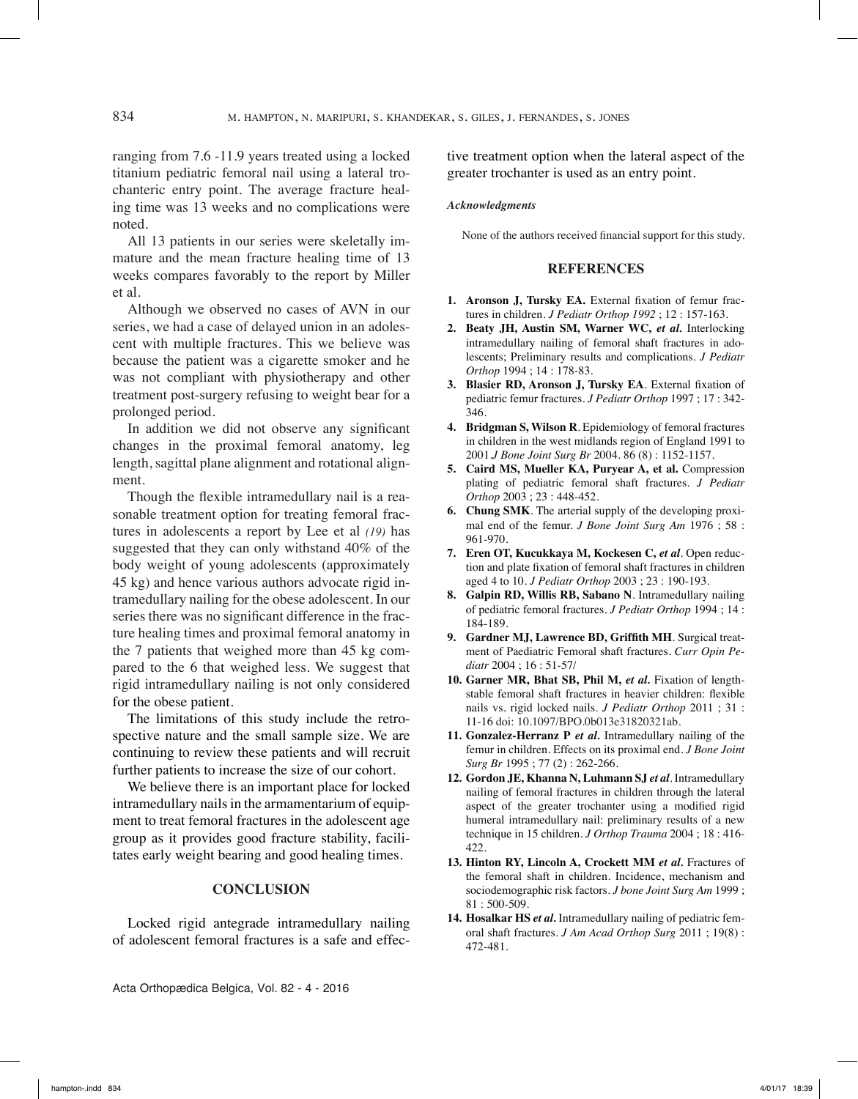ranging from 7.6 -11.9 years treated using a locked titanium pediatric femoral nail using a lateral trochanteric entry point. The average fracture healing time was 13 weeks and no complications were noted.

All 13 patients in our series were skeletally immature and the mean fracture healing time of 13 weeks compares favorably to the report by Miller et al.

Although we observed no cases of AVN in our series, we had a case of delayed union in an adolescent with multiple fractures. This we believe was because the patient was a cigarette smoker and he was not compliant with physiotherapy and other treatment post-surgery refusing to weight bear for a prolonged period.

In addition we did not observe any significant changes in the proximal femoral anatomy, leg length, sagittal plane alignment and rotational alignment.

Though the flexible intramedullary nail is a reasonable treatment option for treating femoral fractures in adolescents a report by Lee et al *(19)* has suggested that they can only withstand 40% of the body weight of young adolescents (approximately 45 kg) and hence various authors advocate rigid intramedullary nailing for the obese adolescent. In our series there was no significant difference in the fracture healing times and proximal femoral anatomy in the 7 patients that weighed more than 45 kg compared to the 6 that weighed less. We suggest that rigid intramedullary nailing is not only considered for the obese patient.

The limitations of this study include the retrospective nature and the small sample size. We are continuing to review these patients and will recruit further patients to increase the size of our cohort.

We believe there is an important place for locked intramedullary nails in the armamentarium of equipment to treat femoral fractures in the adolescent age group as it provides good fracture stability, facilitates early weight bearing and good healing times.

#### **ConclusioN**

Locked rigid antegrade intramedullary nailing of adolescent femoral fractures is a safe and effec-

Acta Orthopædica Belgica, Vol. 82 - 4 - 2016

tive treatment option when the lateral aspect of the greater trochanter is used as an entry point.

#### *Acknowledgments*

None of the authors received financial support for this study.

#### **References**

- **1. Aronson J, Tursky EA.** External fixation of femur fractures in children. *J Pediatr Orthop 1992* ; 12 : 157-163.
- **2. Beaty JH, Austin SM, Warner WC,** *et al.* Interlocking intramedullary nailing of femoral shaft fractures in adolescents; Preliminary results and complications. *J Pediatr Orthop* 1994 ; 14 : 178-83.
- **3. Blasier RD, Aronson J, Tursky EA**. External fixation of pediatric femur fractures. *J Pediatr Orthop* 1997 ; 17 : 342- 346.
- **4. Bridgman S, Wilson R**. Epidemiology of femoral fractures in children in the west midlands region of England 1991 to 2001.*J Bone Joint Surg Br* 2004. 86 (8) : 1152-1157.
- **5. Caird MS, Mueller KA, Puryear A, et al.** Compression plating of pediatric femoral shaft fractures. *J Pediatr Orthop* 2003 ; 23 : 448-452.
- **6. Chung SMK**. The arterial supply of the developing proximal end of the femur. *J Bone Joint Surg Am* 1976 ; 58 : 961-970.
- **7. Eren OT, Kucukkaya M, Kockesen C,** *et al*. Open reduction and plate fixation of femoral shaft fractures in children aged 4 to 10. *J Pediatr Orthop* 2003 ; 23 : 190-193.
- **8. Galpin RD, Willis RB, Sabano N**. Intramedullary nailing of pediatric femoral fractures. *J Pediatr Orthop* 1994 ; 14 : 184-189.
- **9. Gardner MJ, Lawrence BD, Griffith MH**. Surgical treatment of Paediatric Femoral shaft fractures. *Curr Opin Pediatr* 2004 ; 16 : 51-57/
- **10. Garner MR, Bhat SB, Phil M,** *et al.* Fixation of lengthstable femoral shaft fractures in heavier children: flexible nails vs. rigid locked nails. *J Pediatr Orthop* 2011 ; 31 : 11-16 doi: 10.1097/BPO.0b013e31820321ab.
- **11. Gonzalez-Herranz P** *et al.* Intramedullary nailing of the femur in children. Effects on its proximal end. *J Bone Joint Surg Br* 1995 ; 77 (2) : 262-266.
- **12. Gordon JE, Khanna N, Luhmann SJ** *et al*. Intramedullary nailing of femoral fractures in children through the lateral aspect of the greater trochanter using a modified rigid humeral intramedullary nail: preliminary results of a new technique in 15 children. *J Orthop Trauma* 2004 ; 18 : 416- 422.
- **13. Hinton RY, Lincoln A, Crockett MM** *et al.* Fractures of the femoral shaft in children. Incidence, mechanism and sociodemographic risk factors. *J bone Joint Surg Am* 1999 ; 81 : 500-509.
- **14. Hosalkar HS** *et al.* Intramedullary nailing of pediatric femoral shaft fractures. *J Am Acad Orthop Surg* 2011 ; 19(8) : 472-481.